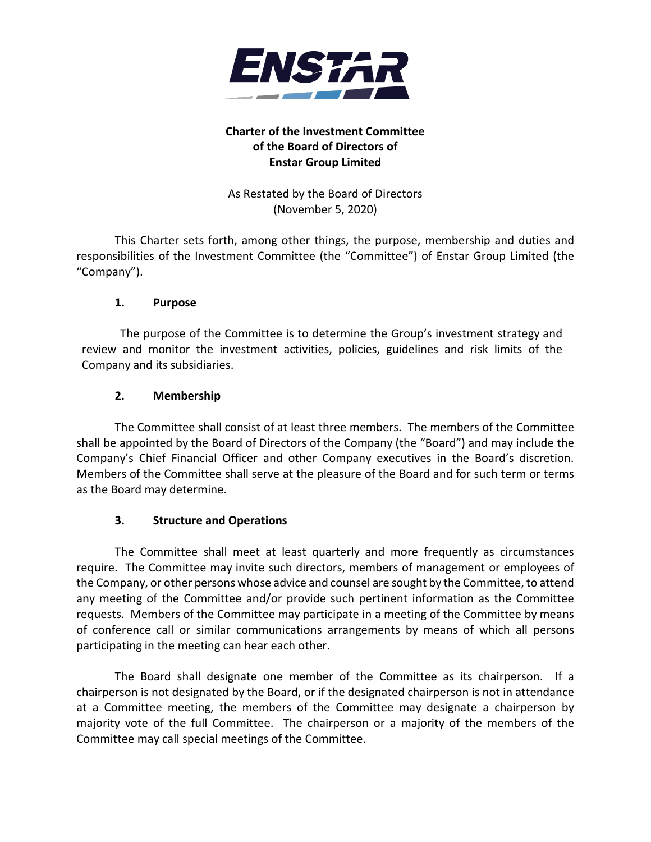

# **Charter of the Investment Committee of the Board of Directors of Enstar Group Limited**

As Restated by the Board of Directors (November 5, 2020)

This Charter sets forth, among other things, the purpose, membership and duties and responsibilities of the Investment Committee (the "Committee") of Enstar Group Limited (the "Company").

## **1. Purpose**

The purpose of the Committee is to determine the Group's investment strategy and review and monitor the investment activities, policies, guidelines and risk limits of the Company and its subsidiaries.

## **2. Membership**

The Committee shall consist of at least three members. The members of the Committee shall be appointed by the Board of Directors of the Company (the "Board") and may include the Company's Chief Financial Officer and other Company executives in the Board's discretion. Members of the Committee shall serve at the pleasure of the Board and for such term or terms as the Board may determine.

### **3. Structure and Operations**

The Committee shall meet at least quarterly and more frequently as circumstances require. The Committee may invite such directors, members of management or employees of the Company, or other persons whose advice and counsel are sought by the Committee, to attend any meeting of the Committee and/or provide such pertinent information as the Committee requests. Members of the Committee may participate in a meeting of the Committee by means of conference call or similar communications arrangements by means of which all persons participating in the meeting can hear each other.

The Board shall designate one member of the Committee as its chairperson. If a chairperson is not designated by the Board, or if the designated chairperson is not in attendance at a Committee meeting, the members of the Committee may designate a chairperson by majority vote of the full Committee. The chairperson or a majority of the members of the Committee may call special meetings of the Committee.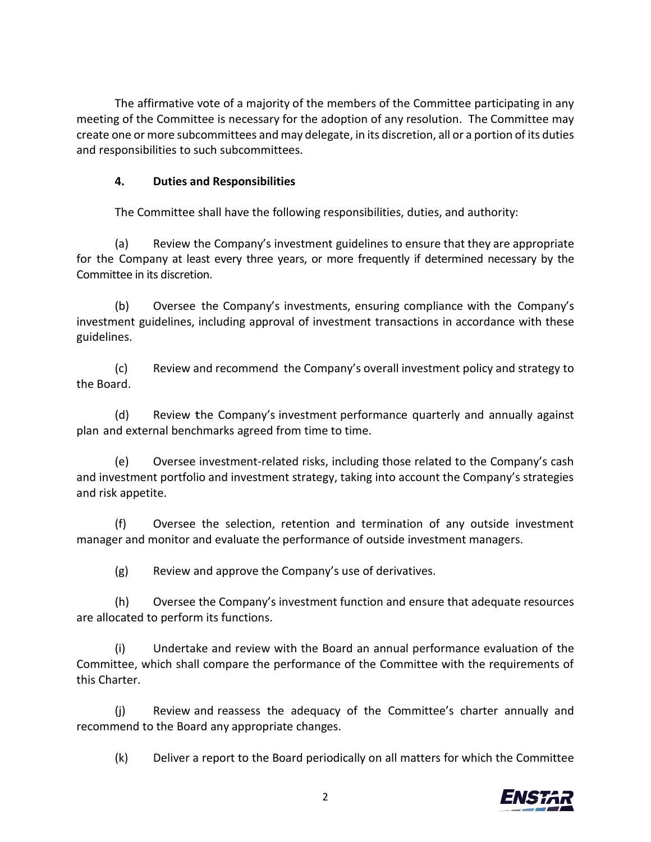The affirmative vote of a majority of the members of the Committee participating in any meeting of the Committee is necessary for the adoption of any resolution. The Committee may create one or more subcommittees and may delegate, in its discretion, all or a portion of its duties and responsibilities to such subcommittees.

## **4. Duties and Responsibilities**

The Committee shall have the following responsibilities, duties, and authority:

(a) Review the Company's investment guidelines to ensure that they are appropriate for the Company at least every three years, or more frequently if determined necessary by the Committee in its discretion.

(b) Oversee the Company's investments, ensuring compliance with the Company's investment guidelines, including approval of investment transactions in accordance with these guidelines.

(c) Review and recommend the Company's overall investment policy and strategy to the Board.

(d) Review the Company's investment performance quarterly and annually against plan and external benchmarks agreed from time to time.

(e) Oversee investment-related risks, including those related to the Company's cash and investment portfolio and investment strategy, taking into account the Company's strategies and risk appetite.

(f) Oversee the selection, retention and termination of any outside investment manager and monitor and evaluate the performance of outside investment managers.

(g) Review and approve the Company's use of derivatives.

(h) Oversee the Company's investment function and ensure that adequate resources are allocated to perform its functions.

(i) Undertake and review with the Board an annual performance evaluation of the Committee, which shall compare the performance of the Committee with the requirements of this Charter.

(j) Review and reassess the adequacy of the Committee's charter annually and recommend to the Board any appropriate changes.

(k) Deliver a report to the Board periodically on all matters for which the Committee